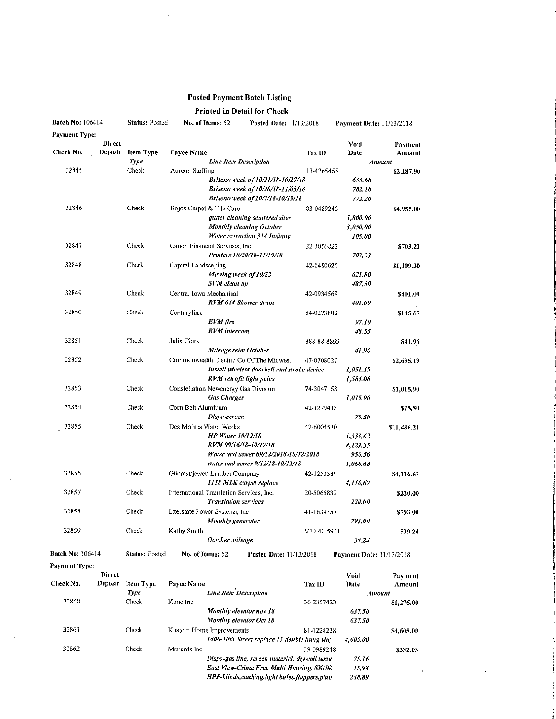## Posted Payment Batch Listing

## Printed in Detail for Check

| Batch No: 106414        |               | <b>Status: Posted</b> | No. of Items: 52                         |                             | Posted Date: 11/13/2018                     |                 | Payment Date: 11/13/2018        |             |
|-------------------------|---------------|-----------------------|------------------------------------------|-----------------------------|---------------------------------------------|-----------------|---------------------------------|-------------|
| <b>Payment Type:</b>    |               |                       |                                          |                             |                                             |                 |                                 |             |
|                         | <b>Direct</b> |                       |                                          |                             |                                             |                 | Void                            | Payment     |
| Check No.               | Deposit       | <b>Item Type</b>      | <b>Payee Name</b>                        |                             |                                             | <b>Tax ID</b>   | Date                            | Amount      |
|                         |               | Type                  | <b>Line Item Description</b>             |                             |                                             | <b>Amount</b>   |                                 |             |
| 32845                   |               | Check                 | Aureon Staffing                          |                             |                                             | $-13 - 4265465$ |                                 | \$2,187.90  |
|                         |               |                       |                                          |                             | Briseno week of 10/21/18-10/27/18           |                 | 633.60                          |             |
|                         |               |                       |                                          |                             | Briseno week of 10/28/18-11/03/18           |                 | 782,10                          |             |
|                         |               |                       |                                          |                             | Briseno week of 10/7/18-10/13/18            |                 | 772.20                          |             |
| 32846                   |               | Check                 | Bojos Carpet & Tile Care                 |                             |                                             | 03-0489242      |                                 | \$4,955,00  |
|                         |               |                       |                                          |                             | gutter cleaning scattered sites             |                 | 1,800.00                        |             |
|                         |               |                       |                                          |                             | Monthly cleaning October                    |                 | 3,050.00                        |             |
|                         |               |                       |                                          |                             | Water extraction 314 Indiana                |                 | 105.00                          |             |
| 32847                   |               | Check                 | Canon Financial Services, Inc.           |                             |                                             | 22-3056822      |                                 | \$703,23    |
|                         |               |                       |                                          |                             | Printers 10/20/18-11/19/18                  |                 | 703.23                          |             |
| 32848                   |               | Check                 | Capital Landscaping                      |                             |                                             | 42-1480620      |                                 | \$1,109.30  |
|                         |               |                       |                                          | Mowing week of 10/22        |                                             |                 | 621.80                          |             |
|                         |               |                       |                                          | SVM clean up                |                                             |                 | 487.50                          |             |
| 32849                   |               | Check                 | Central Iowa Mechanical                  |                             |                                             | 42-0934569      |                                 | \$401.09    |
|                         |               |                       |                                          | RVM 614 Shower drain        |                                             |                 | 401.09                          |             |
| 32850                   |               | Check                 | Centurylink                              |                             |                                             | 84-0273800      |                                 | \$145.65    |
|                         |               |                       |                                          | EVM fire                    |                                             |                 | 97.10                           |             |
|                         |               |                       |                                          | <b>RVM</b> intercom         |                                             |                 | 48.55                           |             |
| 32851                   |               | Check                 | Julia Clark                              |                             |                                             | 888-88-8899     |                                 | \$41.96     |
|                         |               |                       |                                          | Mileage reim October        |                                             |                 | 41.96                           |             |
| 32852                   |               | Check                 |                                          |                             | Commonwealth Electric Co Of The Midwest     | 47-0708027      |                                 | \$2,635.19  |
|                         |               |                       |                                          |                             | Install wireless doorhell and strobe device |                 | 1,051.19                        |             |
|                         |               |                       |                                          | RVM retrofit light poles    |                                             |                 | 1,584.00                        |             |
| 32853                   |               | Check                 |                                          |                             |                                             |                 |                                 |             |
|                         |               |                       | Constellation Newenergy Gas Division     |                             |                                             | 74-3047168      |                                 | \$1,015.90  |
|                         |               |                       |                                          | <b>Gas Charges</b>          |                                             |                 | 1,015.90                        |             |
| 32854                   |               | Check                 | Corn Belt Aluminum                       |                             |                                             | 42-1279413      |                                 | \$75.50     |
|                         |               |                       |                                          | Dispo-screen                |                                             |                 | 75.50                           |             |
| 32855                   |               | Check                 | Des Moines Water Works                   |                             |                                             | 42-6004530      |                                 | \$11,486.21 |
|                         |               |                       |                                          | <b>HP Water 10/12/18</b>    |                                             |                 | 1,333.62                        |             |
|                         |               |                       |                                          | RVM 09/16/18-10/17/18       |                                             |                 | 8,129.35                        |             |
|                         |               |                       |                                          |                             | Water and sewer 09/12/2018-10/12/2018       |                 | 956.56                          |             |
|                         |               |                       |                                          |                             | water and sewer 9/12/18-10/12/18            |                 | 1,066.68                        |             |
| 32856                   |               | Check                 | Gilcrest/jewett Lumber Company           |                             |                                             | 42-1253389      |                                 | \$4,116.67  |
|                         |               |                       |                                          |                             | 1158 MLK carpet replace                     |                 | 4,116.67                        |             |
| 32857                   |               | Check                 | International Translation Services, Inc. |                             |                                             | 20-5066832      |                                 | \$220,00    |
|                         |               |                       |                                          | <b>Translation services</b> |                                             |                 | 220.00                          |             |
| 32858                   |               | Check                 | Interstate Power Systems, Inc.           |                             |                                             | 41-1634357      |                                 | \$793.00    |
|                         |               |                       |                                          | Monthly generator           |                                             |                 | 793.00                          |             |
| 32859                   |               | Check                 | Kathy Smith                              |                             |                                             | V10-40-5941     |                                 | \$39.24     |
|                         |               |                       |                                          | October mileage             |                                             |                 | 39.24                           |             |
| <b>Batch No: 106414</b> |               | Status: Posted        | No. of Items: 52                         |                             | Posted Date: 11/13/2018                     |                 | <b>Payment Date: 11/13/2018</b> |             |
| Payment Type:           |               |                       |                                          |                             |                                             |                 |                                 |             |

Direct<br>Deposit Item Type Check No. 32860 32861 32862 Check Item Type Payee Name<br>Type Type Line Item Description<br>Check Kone Inc Kone Inc Monthly elevator nov IS Monthly elevator Oct 18 Check Kustom Home Improvements Void Payment<br>Date Amount Tax ID Date Amount Amount 36-2357423 \$1.275.00 637.58 637,50 81-1228238 <br> *hung viny* 4,605.00<br> **Example 4,605.00** IrffW-IOfli Street replace 13 double hung vmy 4,605,00 Mcnards Inc 39-0989248 Dispo-gas line, screen material, drywall fextu 75.16 Bust View-Crime Free Multi Housing, SKUff: 15,98 HPP-blinds,cauking,light bulbs,flappers,plun 240,89 \$332.03